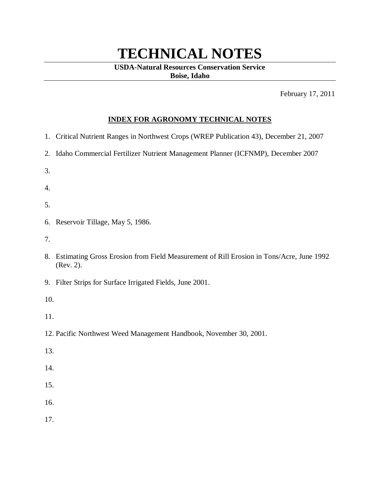## **TECHNICAL NOTES**

## **USDA-Natural Resources Conservation Service Boise, Idaho**

February 17, 2011

## **INDEX FOR AGRONOMY TECHNICAL NOTES**

- 1. Critical Nutrient Ranges in Northwest Crops (WREP Publication 43), December 21, 2007
- 2. Idaho Commercial Fertilizer Nutrient Management Planner (ICFNMP), December 2007
- 3.

4.

- 5.
- 6. Reservoir Tillage, May 5, 1986.
- 7.
- 8. Estimating Gross Erosion from Field Measurement of Rill Erosion in Tons/Acre, June 1992 (Rev. 2).
- 9. Filter Strips for Surface Irrigated Fields, June 2001.

10.

- 11.
- 12. Pacific Northwest Weed Management Handbook, November 30, 2001.
- 13.
- 14.
- 15.
- 16.
- 17.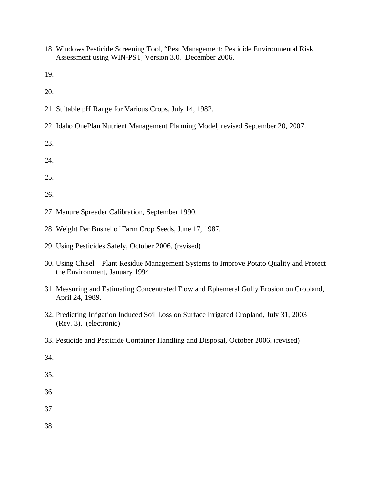18. Windows Pesticide Screening Tool, "Pest Management: Pesticide Environmental Risk Assessment using WIN-PST, Version 3.0. December 2006.

19.

20.

- 21. Suitable pH Range for Various Crops, July 14, 1982.
- 22. Idaho OnePlan Nutrient Management Planning Model, revised September 20, 2007.

23.

24.

25.

26.

- 27. Manure Spreader Calibration, September 1990.
- 28. Weight Per Bushel of Farm Crop Seeds, June 17, 1987.
- 29. Using Pesticides Safely, October 2006. (revised)
- 30. Using Chisel Plant Residue Management Systems to Improve Potato Quality and Protect the Environment, January 1994.
- 31. Measuring and Estimating Concentrated Flow and Ephemeral Gully Erosion on Cropland, April 24, 1989.
- 32. Predicting Irrigation Induced Soil Loss on Surface Irrigated Cropland, July 31, 2003 (Rev. 3). (electronic)
- 33. Pesticide and Pesticide Container Handling and Disposal, October 2006. (revised)
- 34.

35.

- 36.
- 37.

38.